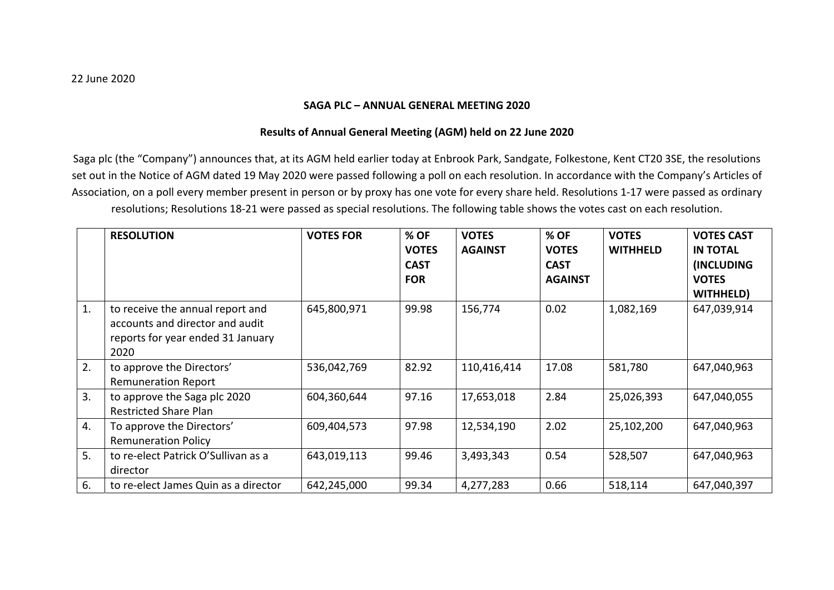## **SAGA PLC – ANNUAL GENERAL MEETING 2020**

## **Results of Annual General Meeting (AGM) held on 22 June 2020**

Saga plc (the "Company") announces that, at its AGM held earlier today at Enbrook Park, Sandgate, Folkestone, Kent CT20 3SE, the resolutions set out in the Notice of AGM dated 19 May 2020 were passed following <sup>a</sup> poll on each resolution. In accordance with the Company's Articles of Association, on <sup>a</sup> poll every member present in person or by proxy has one vote for every share held. Resolutions 1‐17 were passed as ordinary resolutions; Resolutions 18‐21 were passed as special resolutions. The following table shows the votes cast on each resolution.

|    | <b>RESOLUTION</b>                                                                                                | <b>VOTES FOR</b> | % OF<br><b>VOTES</b><br><b>CAST</b><br><b>FOR</b> | <b>VOTES</b><br><b>AGAINST</b> | $%$ OF<br><b>VOTES</b><br><b>CAST</b><br><b>AGAINST</b> | <b>VOTES</b><br><b>WITHHELD</b> | <b>VOTES CAST</b><br><b>IN TOTAL</b><br><b>(INCLUDING</b><br><b>VOTES</b><br>WITHHELD) |
|----|------------------------------------------------------------------------------------------------------------------|------------------|---------------------------------------------------|--------------------------------|---------------------------------------------------------|---------------------------------|----------------------------------------------------------------------------------------|
| 1. | to receive the annual report and<br>accounts and director and audit<br>reports for year ended 31 January<br>2020 | 645,800,971      | 99.98                                             | 156,774                        | 0.02                                                    | 1,082,169                       | 647,039,914                                                                            |
| 2. | to approve the Directors'<br><b>Remuneration Report</b>                                                          | 536,042,769      | 82.92                                             | 110,416,414                    | 17.08                                                   | 581,780                         | 647,040,963                                                                            |
| 3. | to approve the Saga plc 2020<br><b>Restricted Share Plan</b>                                                     | 604,360,644      | 97.16                                             | 17,653,018                     | 2.84                                                    | 25,026,393                      | 647,040,055                                                                            |
| 4. | To approve the Directors'<br><b>Remuneration Policy</b>                                                          | 609,404,573      | 97.98                                             | 12,534,190                     | 2.02                                                    | 25,102,200                      | 647,040,963                                                                            |
| 5. | to re-elect Patrick O'Sullivan as a<br>director                                                                  | 643,019,113      | 99.46                                             | 3,493,343                      | 0.54                                                    | 528,507                         | 647,040,963                                                                            |
| 6. | to re-elect James Quin as a director                                                                             | 642,245,000      | 99.34                                             | 4,277,283                      | 0.66                                                    | 518,114                         | 647,040,397                                                                            |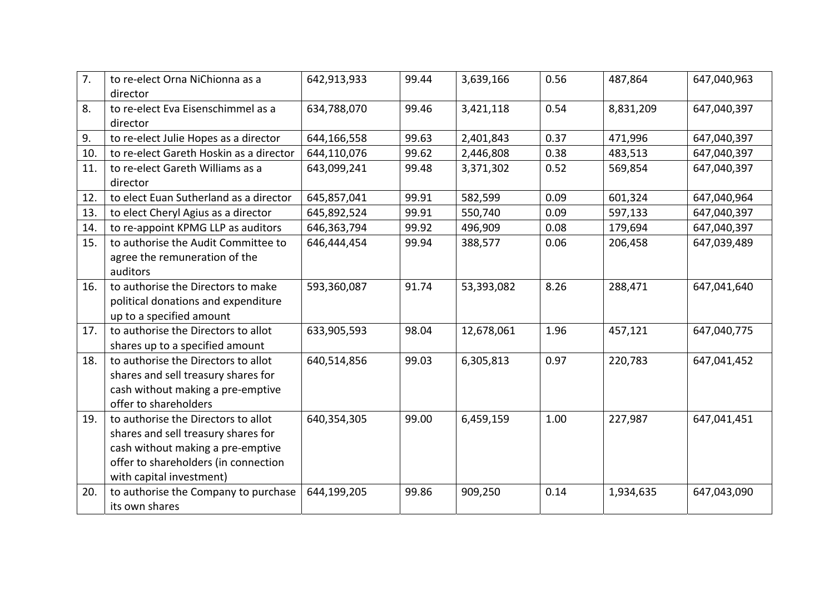| 7.  | to re-elect Orna NiChionna as a<br>director                                                                                                                                         | 642,913,933 | 99.44 | 3,639,166  | 0.56 | 487,864   | 647,040,963 |
|-----|-------------------------------------------------------------------------------------------------------------------------------------------------------------------------------------|-------------|-------|------------|------|-----------|-------------|
| 8.  | to re-elect Eva Eisenschimmel as a<br>director                                                                                                                                      | 634,788,070 | 99.46 | 3,421,118  | 0.54 | 8,831,209 | 647,040,397 |
| 9.  | to re-elect Julie Hopes as a director                                                                                                                                               | 644,166,558 | 99.63 | 2,401,843  | 0.37 | 471,996   | 647,040,397 |
| 10. | to re-elect Gareth Hoskin as a director                                                                                                                                             | 644,110,076 | 99.62 | 2,446,808  | 0.38 | 483,513   | 647,040,397 |
| 11. | to re-elect Gareth Williams as a<br>director                                                                                                                                        | 643,099,241 | 99.48 | 3,371,302  | 0.52 | 569,854   | 647,040,397 |
| 12. | to elect Euan Sutherland as a director                                                                                                                                              | 645,857,041 | 99.91 | 582,599    | 0.09 | 601,324   | 647,040,964 |
| 13. | to elect Cheryl Agius as a director                                                                                                                                                 | 645,892,524 | 99.91 | 550,740    | 0.09 | 597,133   | 647,040,397 |
| 14. | to re-appoint KPMG LLP as auditors                                                                                                                                                  | 646,363,794 | 99.92 | 496,909    | 0.08 | 179,694   | 647,040,397 |
| 15. | to authorise the Audit Committee to<br>agree the remuneration of the<br>auditors                                                                                                    | 646,444,454 | 99.94 | 388,577    | 0.06 | 206,458   | 647,039,489 |
| 16. | to authorise the Directors to make<br>political donations and expenditure<br>up to a specified amount                                                                               | 593,360,087 | 91.74 | 53,393,082 | 8.26 | 288,471   | 647,041,640 |
| 17. | to authorise the Directors to allot<br>shares up to a specified amount                                                                                                              | 633,905,593 | 98.04 | 12,678,061 | 1.96 | 457,121   | 647,040,775 |
| 18. | to authorise the Directors to allot<br>shares and sell treasury shares for<br>cash without making a pre-emptive<br>offer to shareholders                                            | 640,514,856 | 99.03 | 6,305,813  | 0.97 | 220,783   | 647,041,452 |
| 19. | to authorise the Directors to allot<br>shares and sell treasury shares for<br>cash without making a pre-emptive<br>offer to shareholders (in connection<br>with capital investment) | 640,354,305 | 99.00 | 6,459,159  | 1.00 | 227,987   | 647,041,451 |
| 20. | to authorise the Company to purchase<br>its own shares                                                                                                                              | 644,199,205 | 99.86 | 909,250    | 0.14 | 1,934,635 | 647,043,090 |